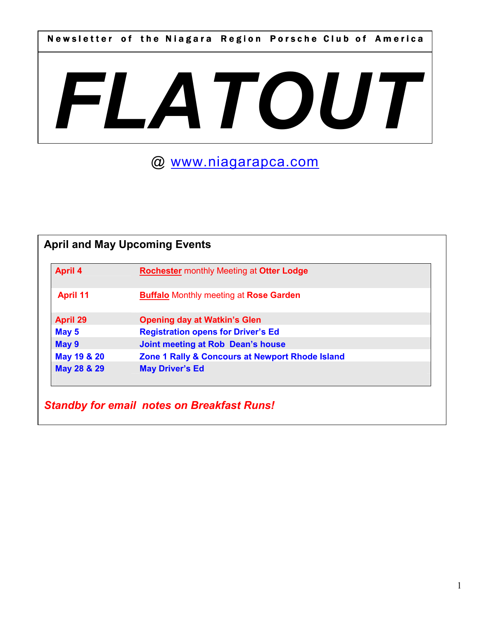Newsletter of the Niagara Region Porsche Club of America

# FLATOUT

# @ www.niagarapca.com

| <b>April 4</b>  | <b>Rochester monthly Meeting at Otter Lodge</b> |  |
|-----------------|-------------------------------------------------|--|
| <b>April 11</b> | <b>Buffalo Monthly meeting at Rose Garden</b>   |  |
| <b>April 29</b> | <b>Opening day at Watkin's Glen</b>             |  |
| May 5           | <b>Registration opens for Driver's Ed</b>       |  |
| May 9           | Joint meeting at Rob Dean's house               |  |
| May 19 & 20     | Zone 1 Rally & Concours at Newport Rhode Island |  |
| May 28 & 29     | <b>May Driver's Ed</b>                          |  |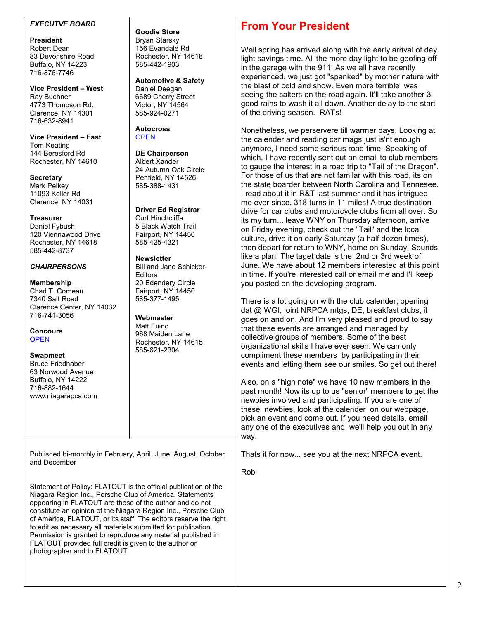### EXECUTVE BOARD

President Robert Dean 83 Devonshire Road Buffalo, NY 14223 716-876-7746

Vice President – West Ray Buchner 4773 Thompson Rd. Clarence, NY 14301 716-632-8941

Vice President – East Tom Keating 144 Beresford Rd Rochester, NY 14610

**Secretary** Mark Pelkey 11093 Keller Rd Clarence, NY 14031

**Treasurer** Daniel Fybush 120 Viennawood Drive Rochester, NY 14618 585-442-8737

### **CHAIRPERSONS**

### Membership

Chad T. Comeau 7340 Salt Road Clarence Center, NY 14032 716-741-3056

**Concours OPEN** 

Swapmeet Bruce Friedhaber 63 Norwood Avenue Buffalo, NY 14222 716-882-1644 www.niagarapca.com

Goodie Store Bryan Starsky 156 Evandale Rd Rochester, NY 14618 585-442-1903

Automotive & Safety Daniel Deegan 6689 Cherry Street Victor, NY 14564 585-924-0271

Autocross **OPEN** 

DE Chairperson Albert Xander 24 Autumn Oak Circle Penfield, NY 14526 585-388-1431

### Driver Ed Registrar

Curt Hinchcliffe 5 Black Watch Trail Fairport, NY 14450 585-425-4321

**Newsletter** Bill and Jane Schicker-Editors 20 Edendery Circle Fairport, NY 14450 585-377-1495

Webmaster Matt Fuino 968 Maiden Lane Rochester, NY 14615 585-621-2304

Published bi-monthly in February, April, June, August, October and December

Statement of Policy: FLATOUT is the official publication of the Niagara Region Inc., Porsche Club of America. Statements appearing in FLATOUT are those of the author and do not constitute an opinion of the Niagara Region Inc., Porsche Club of America, FLATOUT, or its staff. The editors reserve the right to edit as necessary all materials submitted for publication. Permission is granted to reproduce any material published in FLATOUT provided full credit is given to the author or photographer and to FLATOUT.

# From Your President

Well spring has arrived along with the early arrival of day light savings time. All the more day light to be goofing off in the garage with the 911! As we all have recently experienced, we just got "spanked" by mother nature with the blast of cold and snow. Even more terrible was seeing the salters on the road again. It'll take another 3 good rains to wash it all down. Another delay to the start of the driving season. RATs!

Nonetheless, we perservere till warmer days. Looking at the calender and reading car mags just is'nt enough anymore, I need some serious road time. Speaking of which, I have recently sent out an email to club members to gauge the interest in a road trip to "Tail of the Dragon". For those of us that are not familar with this road, its on the state boarder between North Carolina and Tennesee. I read about it in R&T last summer and it has intrigued me ever since. 318 turns in 11 miles! A true destination drive for car clubs and motorcycle clubs from all over. So its my turn... leave WNY on Thursday afternoon, arrive on Friday evening, check out the "Tail" and the local culture, drive it on early Saturday (a half dozen times), then depart for return to WNY, home on Sunday. Sounds like a plan! The taget date is the 2nd or 3rd week of June. We have about 12 members interested at this point in time. If you're interested call or email me and I'll keep you posted on the developing program.

There is a lot going on with the club calender; opening dat @ WGI, joint NRPCA mtgs, DE, breakfast clubs, it goes on and on. And I'm very pleased and proud to say that these events are arranged and managed by collective groups of members. Some of the best organizational skills I have ever seen. We can only compliment these members by participating in their events and letting them see our smiles. So get out there!

Also, on a "high note" we have 10 new members in the past month! Now its up to us "senior" members to get the newbies involved and participating. If you are one of these newbies, look at the calender on our webpage, pick an event and come out. If you need details, email any one of the executives and we'll help you out in any way.

Thats it for now... see you at the next NRPCA event.

Rob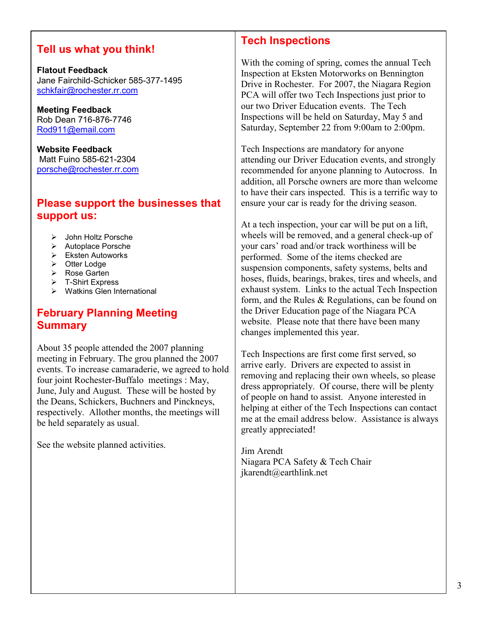# Tell us what you think!

Flatout Feedback Jane Fairchild-Schicker 585-377-1495 schkfair@rochester.rr.com

Meeting Feedback Rob Dean 716-876-7746 Rod911@email.com

Website Feedback Matt Fuino 585-621-2304 porsche@rochester.rr.com

### Please support the businesses that support us:

- > John Holtz Porsche
- $\triangleright$  Autoplace Porsche
- Eksten Autoworks
- $\triangleright$  Otter Lodge
- ▶ Rose Garten
- > T-Shirt Express
- $\triangleright$  Watkins Glen International

# February Planning Meeting Summary

About 35 people attended the 2007 planning meeting in February. The grou planned the 2007 events. To increase camaraderie, we agreed to hold four joint Rochester-Buffalo meetings : May, June, July and August. These will be hosted by the Deans, Schickers, Buchners and Pinckneys, respectively. Allother months, the meetings will be held separately as usual.

See the website planned activities.

# Tech Inspections

With the coming of spring, comes the annual Tech Inspection at Eksten Motorworks on Bennington Drive in Rochester. For 2007, the Niagara Region PCA will offer two Tech Inspections just prior to our two Driver Education events. The Tech Inspections will be held on Saturday, May 5 and Saturday, September 22 from 9:00am to 2:00pm.

Tech Inspections are mandatory for anyone attending our Driver Education events, and strongly recommended for anyone planning to Autocross. In addition, all Porsche owners are more than welcome to have their cars inspected. This is a terrific way to ensure your car is ready for the driving season.

At a tech inspection, your car will be put on a lift, wheels will be removed, and a general check-up of your cars' road and/or track worthiness will be performed. Some of the items checked are suspension components, safety systems, belts and hoses, fluids, bearings, brakes, tires and wheels, and exhaust system. Links to the actual Tech Inspection form, and the Rules & Regulations, can be found on the Driver Education page of the Niagara PCA website. Please note that there have been many changes implemented this year.

Tech Inspections are first come first served, so arrive early. Drivers are expected to assist in removing and replacing their own wheels, so please dress appropriately. Of course, there will be plenty of people on hand to assist. Anyone interested in helping at either of the Tech Inspections can contact me at the email address below. Assistance is always greatly appreciated!

Jim Arendt Niagara PCA Safety & Tech Chair jkarendt@earthlink.net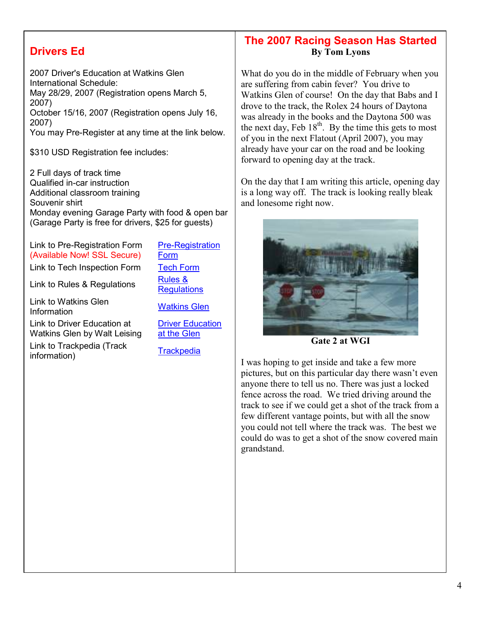# Drivers Ed

2007 Driver's Education at Watkins Glen International Schedule: May 28/29, 2007 (Registration opens March 5, 2007) October 15/16, 2007 (Registration opens July 16, 2007) You may Pre-Register at any time at the link below.

\$310 USD Registration fee includes:

2 Full days of track time Qualified in-car instruction Additional classroom training Souvenir shirt Monday evening Garage Party with food & open bar (Garage Party is free for drivers, \$25 for guests)

Link to Pre-Registration Form (Available Now! SSL Secure) Link to Tech Inspection Form Tech Form

Link to Rules & Regulations  $\frac{\text{Rules } 8}{\text{R}}$ 

Link to Watkins Glen Link to watkins Glen<br>Information Matkins Glen

Link to Driver Education at Watkins Glen by Walt Leising

Link to Trackpedia (Track Ellik to Hackpedia (Hackpedia Trackpedia information)

Form **Regulations** 

Pre-Registration

Driver Education at the Glen

# The 2007 Racing Season Has Started By Tom Lyons

What do you do in the middle of February when you are suffering from cabin fever? You drive to Watkins Glen of course! On the day that Babs and I drove to the track, the Rolex 24 hours of Daytona was already in the books and the Daytona 500 was the next day, Feb  $18<sup>th</sup>$ . By the time this gets to most of you in the next Flatout (April 2007), you may already have your car on the road and be looking forward to opening day at the track.

On the day that I am writing this article, opening day is a long way off. The track is looking really bleak and lonesome right now.



Gate 2 at WGI

I was hoping to get inside and take a few more pictures, but on this particular day there wasn't even anyone there to tell us no. There was just a locked fence across the road. We tried driving around the track to see if we could get a shot of the track from a few different vantage points, but with all the snow you could not tell where the track was. The best we could do was to get a shot of the snow covered main grandstand.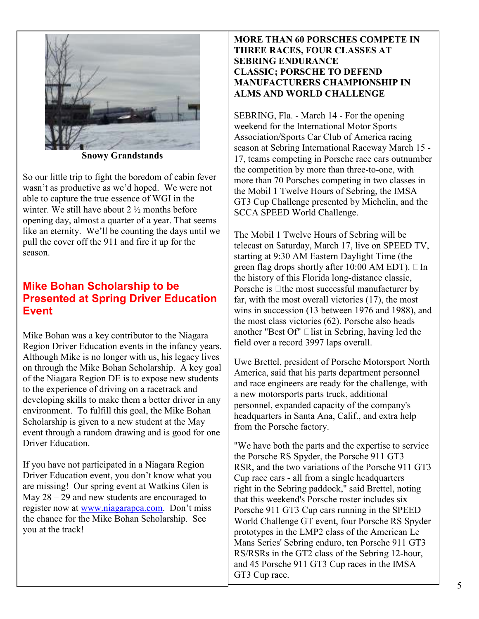

Snowy Grandstands

So our little trip to fight the boredom of cabin fever wasn't as productive as we'd hoped. We were not able to capture the true essence of WGI in the winter. We still have about 2 ½ months before opening day, almost a quarter of a year. That seems like an eternity. We'll be counting the days until we pull the cover off the 911 and fire it up for the season.

## Mike Bohan Scholarship to be Presented at Spring Driver Education **Event**

Mike Bohan was a key contributor to the Niagara Region Driver Education events in the infancy years. Although Mike is no longer with us, his legacy lives on through the Mike Bohan Scholarship. A key goal of the Niagara Region DE is to expose new students to the experience of driving on a racetrack and developing skills to make them a better driver in any environment. To fulfill this goal, the Mike Bohan Scholarship is given to a new student at the May event through a random drawing and is good for one Driver Education.

If you have not participated in a Niagara Region Driver Education event, you don't know what you are missing! Our spring event at Watkins Glen is May 28 – 29 and new students are encouraged to register now at www.niagarapca.com. Don't miss the chance for the Mike Bohan Scholarship. See you at the track!

### MORE THAN 60 PORSCHES COMPETE IN THREE RACES, FOUR CLASSES AT SEBRING ENDURANCE CLASSIC; PORSCHE TO DEFEND MANUFACTURERS CHAMPIONSHIP IN ALMS AND WORLD CHALLENGE

SEBRING, Fla. - March 14 - For the opening weekend for the International Motor Sports Association/Sports Car Club of America racing season at Sebring International Raceway March 15 - 17, teams competing in Porsche race cars outnumber the competition by more than three-to-one, with more than 70 Porsches competing in two classes in the Mobil 1 Twelve Hours of Sebring, the IMSA GT3 Cup Challenge presented by Michelin, and the SCCA SPEED World Challenge.

The Mobil 1 Twelve Hours of Sebring will be telecast on Saturday, March 17, live on SPEED TV, starting at 9:30 AM Eastern Daylight Time (the green flag drops shortly after 10:00 AM EDT). GIn the history of this Florida long-distance classic, Porsche is Gthe most successful manufacturer by far, with the most overall victories (17), the most wins in succession (13 between 1976 and 1988), and the most class victories (62). Porsche also heads another "Best Of" Glist in Sebring, having led the field over a record 3997 laps overall.

Uwe Brettel, president of Porsche Motorsport North America, said that his parts department personnel and race engineers are ready for the challenge, with a new motorsports parts truck, additional personnel, expanded capacity of the company's headquarters in Santa Ana, Calif., and extra help from the Porsche factory.

"We have both the parts and the expertise to service the Porsche RS Spyder, the Porsche 911 GT3 RSR, and the two variations of the Porsche 911 GT3 Cup race cars - all from a single headquarters right in the Sebring paddock," said Brettel, noting that this weekend's Porsche roster includes six Porsche 911 GT3 Cup cars running in the SPEED World Challenge GT event, four Porsche RS Spyder prototypes in the LMP2 class of the American Le Mans Series' Sebring enduro, ten Porsche 911 GT3 RS/RSRs in the GT2 class of the Sebring 12-hour, and 45 Porsche 911 GT3 Cup races in the IMSA GT3 Cup race.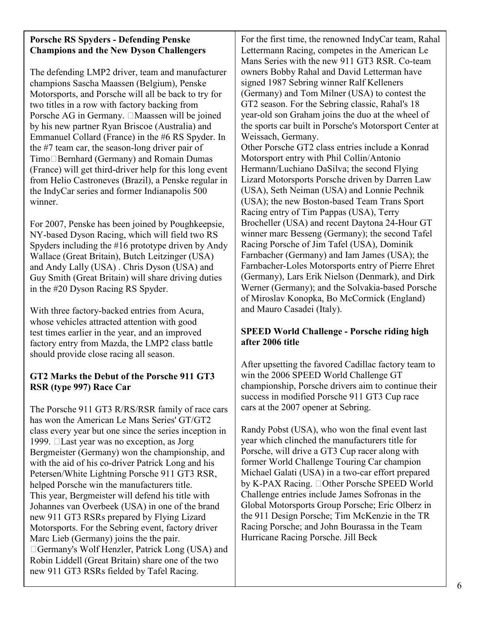### Porsche RS Spyders - Defending Penske Champions and the New Dyson Challengers

The defending LMP2 driver, team and manufacturer champions Sascha Maassen (Belgium), Penske Motorsports, and Porsche will all be back to try for two titles in a row with factory backing from Porsche AG in Germany. GMaassen will be joined by his new partner Ryan Briscoe (Australia) and Emmanuel Collard (France) in the #6 RS Spyder. In the #7 team car, the season-long driver pair of TimoGBernhard (Germany) and Romain Dumas (France) will get third-driver help for this long event from Helio Castroneves (Brazil), a Penske regular in the IndyCar series and former Indianapolis 500 winner.

For 2007, Penske has been joined by Poughkeepsie, NY-based Dyson Racing, which will field two RS Spyders including the #16 prototype driven by Andy Wallace (Great Britain), Butch Leitzinger (USA) and Andy Lally (USA) . Chris Dyson (USA) and Guy Smith (Great Britain) will share driving duties in the #20 Dyson Racing RS Spyder.

With three factory-backed entries from Acura, whose vehicles attracted attention with good test times earlier in the year, and an improved factory entry from Mazda, the LMP2 class battle should provide close racing all season.

### GT2 Marks the Debut of the Porsche 911 GT3 RSR (type 997) Race Car

The Porsche 911 GT3 R/RS/RSR family of race cars has won the American Le Mans Series' GT/GT2 class every year but one since the series inception in 1999. GLast year was no exception, as Jorg Bergmeister (Germany) won the championship, and with the aid of his co-driver Patrick Long and his Petersen/White Lightning Porsche 911 GT3 RSR, helped Porsche win the manufacturers title. This year, Bergmeister will defend his title with Johannes van Overbeek (USA) in one of the brand new 911 GT3 RSRs prepared by Flying Lizard Motorsports. For the Sebring event, factory driver Marc Lieb (Germany) joins the the pair. GGermany's Wolf Henzler, Patrick Long (USA) and Robin Liddell (Great Britain) share one of the two new 911 GT3 RSRs fielded by Tafel Racing.

For the first time, the renowned IndyCar team, Rahal Lettermann Racing, competes in the American Le Mans Series with the new 911 GT3 RSR. Co-team owners Bobby Rahal and David Letterman have signed 1987 Sebring winner Ralf Kelleners (Germany) and Tom Milner (USA) to contest the GT2 season. For the Sebring classic, Rahal's 18 year-old son Graham joins the duo at the wheel of the sports car built in Porsche's Motorsport Center at Weissach, Germany.

Other Porsche GT2 class entries include a Konrad Motorsport entry with Phil Collin/Antonio Hermann/Luchiano DaSilva; the second Flying Lizard Motorsports Porsche driven by Darren Law (USA), Seth Neiman (USA) and Lonnie Pechnik (USA); the new Boston-based Team Trans Sport Racing entry of Tim Pappas (USA), Terry Brocheller (USA) and recent Daytona 24-Hour GT winner marc Besseng (Germany); the second Tafel Racing Porsche of Jim Tafel (USA), Dominik Farnbacher (Germany) and Iam James (USA); the Farnbacher-Loles Motorsports entry of Pierre Ehret (Germany), Lars Erik Nielson (Denmark), and Dirk Werner (Germany); and the Solvakia-based Porsche of Miroslav Konopka, Bo McCormick (England) and Mauro Casadei (Italy).

### SPEED World Challenge - Porsche riding high after 2006 title

After upsetting the favored Cadillac factory team to win the 2006 SPEED World Challenge GT championship, Porsche drivers aim to continue their success in modified Porsche 911 GT3 Cup race cars at the 2007 opener at Sebring.

Randy Pobst (USA), who won the final event last year which clinched the manufacturers title for Porsche, will drive a GT3 Cup racer along with former World Challenge Touring Car champion Michael Galati (USA) in a two-car effort prepared by K-PAX Racing. GOther Porsche SPEED World Challenge entries include James Sofronas in the Global Motorsports Group Porsche; Eric Olberz in the 911 Design Porsche; Tim McKenzie in the TR Racing Porsche; and John Bourassa in the Team Hurricane Racing Porsche. Jill Beck